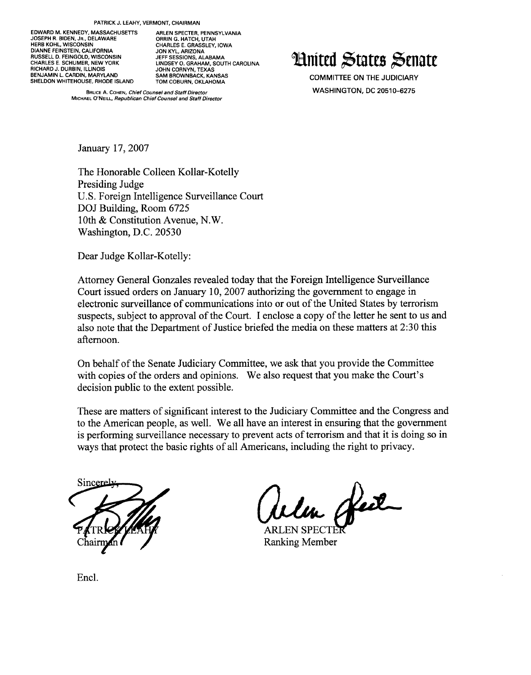EDWARD M. KENNEDY, MASSACHUSETTS ARLEN SPECTER, PENNSYLVANIA<br>JOSEPH R. BIDEN, JR., DELAWARE (ARRIN G. HATCH, LITAH JOSEPH R. BIDEN, JR., DELAWARE<br>HERB KOHL, WISCONSIN DIANNE FEINSTEIN, CALIFORNIA JON KYL, ARIZONA BIARNE FEINGTEIN, GALIFORNIA<br>RUSSELL D. FEINGOLD, WISCONSIN<br>CHARLES E. SCHUMER, NEW YORK RICHARD J. DURBIN, ILLINOIS<br>BENJAMIN L. CARDIN, MARYLAND SAM BROWNBACK. KANSAS BENJAMIN L. CARDIN, MARYLAND SUMN CUNNIN, IEAAS<br>SHELDON WHITEHOUSE, RHODE ISLAND SAM BROWNBACK, KANSAS SHELDON WHITEHOUSE, RHODE ISLAND

CHARLES E. GRASSLEY, IOWA<br>JON KYL, ARIZONA **LINDSEY O. GRAHAM, SOUTH CAROLINA**<br>JOHN CORNYN, TEXAS

BRUCEA. COHEN,*Chief Counsel and Staff Director* M'CHAELO'NE'LL,*Republican Chief Counsel and Staff Director* **Hnitcd States Senate** 

COMMITTEE ON THE JUDICIARY WASHINGTON, DC 20510-6275

January 17,2007

The Honorable Colleen Kollar-Kotelly Presiding Judge U.S. Foreign Intelligence Surveillance Court DOJ Building, Room 6725 10th & Constitution Avenue, N.W. Washington, D.C. 20530

Dear Judge Kollar-Kotelly:

Attorney General Gonzales revealed today that the Foreign Intelligence Surveillance Court issued orders on January 10,2007 authorizing the government to engage in electronic surveillance of communications into or out of the United States by terrorism suspects, subject to approval of the Court. I enclose a copy of the letter he sent to us and also note that the Department of Justice briefed the media on these matters at 2:30 this afternoon.

On behalf ofthe Senate Judiciary Committee, we ask that you provide the Committee with copies of the orders and opinions. We also request that you make the Court's decision public to the extent possible.

These are matters of significant interest to the Judiciary Committee and the Congress and to the American people, as well. We all have an interest in ensuring that the government is performing surveillance necessary to prevent acts of terrorism and that it is doing so in ways that protect the basic rights of all Americans, including the right to privacy.

Sincerel

~ Welch Heil

Ranking Member

Encl.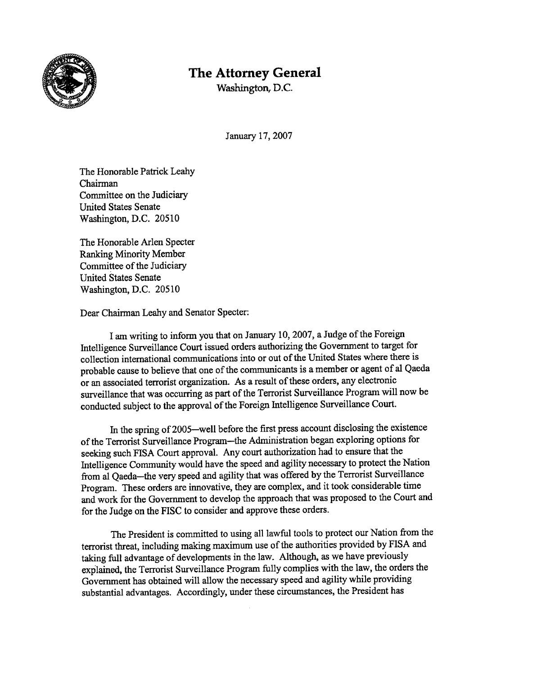

## **The Attorney General**

Washington, D.C.

January 17, 2007

The Honorable Patrick Leahy Chairman Committee on the Judiciary United States Senate Washington, D.C. 20510

The Honorable Arlen Specter Ranking Minority Member Committee of the Judiciary United States Senate Washington, D.C. 20510

Dear Chairman Leahy and Senator Specter:

I am writing to inform you that on January 10, 2007, a Judge of the Foreign Intelligence Surveillance Court issued orders authorizing the Government to target for collection international communications into or out of the United States where there is probable cause to believe that one of the communicants is a member or agent of al Qaeda or an associated terrorist organization. As a result of these orders, any electronic surveillance that was occurring as part of the Terrorist Surveillance Program will now be conducted subject to the approval of the Foreign Intelligence Surveillance Court.

In the spring of 2005-well before the first press account disclosing the existence of the Terrorist Surveillance Program-the Administration began exploring options for seeking such FISA Court approval. Any court authorization had to ensure that the Intelligence Community would have the speed and agility necessary to protect the Nation from al Qaeda-the very speed and agility that was offered by the Terrorist Surveillance Program. These orders are innovative, they are complex, and it took considerable time and work for the Government to develop the approach that was proposed to the Court and for the Judge on the FISC to consider and approve these orders.

The President is committed to using all lawful tools to protect our Nation from the terrorist threat, including making maximum use of the authorities provided by FISA and taking full advantage of developments in the law. Although, as we have previously explained, the Terrorist Surveillance Program fully complies with the law, the orders the Government has obtained will allow the necessary speed and agility while providing substantial advantages. Accordingly, under these circumstances, the President has